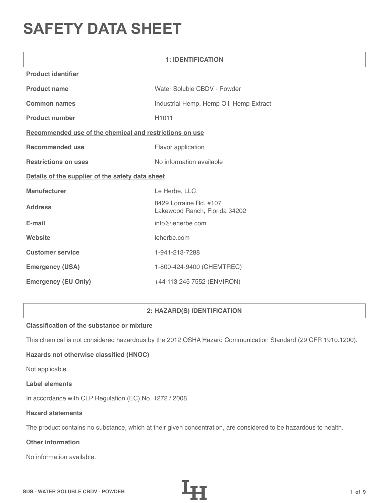# **SAFETY DATA SHEET**

| <b>1: IDENTIFICATION</b>                                |                                                         |  |  |
|---------------------------------------------------------|---------------------------------------------------------|--|--|
| <b>Product identifier</b>                               |                                                         |  |  |
| <b>Product name</b>                                     | Water Soluble CBDV - Powder                             |  |  |
| <b>Common names</b>                                     | Industrial Hemp, Hemp Oil, Hemp Extract                 |  |  |
| <b>Product number</b>                                   | H1011                                                   |  |  |
| Recommended use of the chemical and restrictions on use |                                                         |  |  |
| <b>Recommended use</b>                                  | Flavor application                                      |  |  |
| <b>Restrictions on uses</b>                             | No information available                                |  |  |
| Details of the supplier of the safety data sheet        |                                                         |  |  |
| <b>Manufacturer</b>                                     | Le Herbe, LLC.                                          |  |  |
| <b>Address</b>                                          | 8429 Lorraine Rd. #107<br>Lakewood Ranch, Florida 34202 |  |  |
| E-mail                                                  | info@leherbe.com                                        |  |  |
| Website                                                 | leherbe.com                                             |  |  |
| <b>Customer service</b>                                 | 1-941-213-7288                                          |  |  |
| <b>Emergency (USA)</b>                                  | 1-800-424-9400 (CHEMTREC)                               |  |  |
| <b>Emergency (EU Only)</b>                              | +44 113 245 7552 (ENVIRON)                              |  |  |

# **2: HAZARD(S) IDENTIFICATION**

# **Classification of the substance or mixture**

This chemical is not considered hazardous by the 2012 OSHA Hazard Communication Standard (29 CFR 1910.1200).

# **Hazards not otherwise classified (HNOC)**

Not applicable.

#### **Label elements**

In accordance with CLP Regulation (EC) No. 1272 / 2008.

## **Hazard statements**

The product contains no substance, which at their given concentration, are considered to be hazardous to health.

# **Other information**

No information available.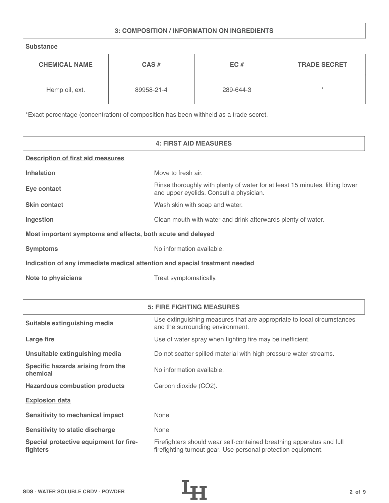# **3: COMPOSITION / INFORMATION ON INGREDIENTS**

**Substance**

| <b>CHEMICAL NAME</b> | $CAS \#$   | EC#       | <b>TRADE SECRET</b> |
|----------------------|------------|-----------|---------------------|
| Hemp oil, ext.       | 89958-21-4 | 289-644-3 | $\star$             |

\*Exact percentage (concentration) of composition has been withheld as a trade secret.

|                                                                            | <b>4: FIRST AID MEASURES</b>                                                                                            |
|----------------------------------------------------------------------------|-------------------------------------------------------------------------------------------------------------------------|
| <b>Description of first aid measures</b>                                   |                                                                                                                         |
| <b>Inhalation</b>                                                          | Move to fresh air.                                                                                                      |
| Eye contact                                                                | Rinse thoroughly with plenty of water for at least 15 minutes, lifting lower<br>and upper eyelids. Consult a physician. |
| <b>Skin contact</b>                                                        | Wash skin with soap and water.                                                                                          |
| Ingestion                                                                  | Clean mouth with water and drink afterwards plenty of water.                                                            |
| Most important symptoms and effects, both acute and delayed                |                                                                                                                         |
| <b>Symptoms</b>                                                            | No information available.                                                                                               |
| Indication of any immediate medical attention and special treatment needed |                                                                                                                         |
| <b>Note to physicians</b>                                                  | Treat symptomatically.                                                                                                  |

|                                                    | <b>5: FIRE FIGHTING MEASURES</b>                                                                                                      |
|----------------------------------------------------|---------------------------------------------------------------------------------------------------------------------------------------|
| Suitable extinguishing media                       | Use extinguishing measures that are appropriate to local circumstances<br>and the surrounding environment.                            |
| Large fire                                         | Use of water spray when fighting fire may be inefficient.                                                                             |
| Unsuitable extinguishing media                     | Do not scatter spilled material with high pressure water streams.                                                                     |
| Specific hazards arising from the<br>chemical      | No information available.                                                                                                             |
| <b>Hazardous combustion products</b>               | Carbon dioxide (CO2).                                                                                                                 |
| <b>Explosion data</b>                              |                                                                                                                                       |
| Sensitivity to mechanical impact                   | None                                                                                                                                  |
| <b>Sensitivity to static discharge</b>             | None                                                                                                                                  |
| Special protective equipment for fire-<br>fighters | Firefighters should wear self-contained breathing apparatus and full<br>firefighting turnout gear. Use personal protection equipment. |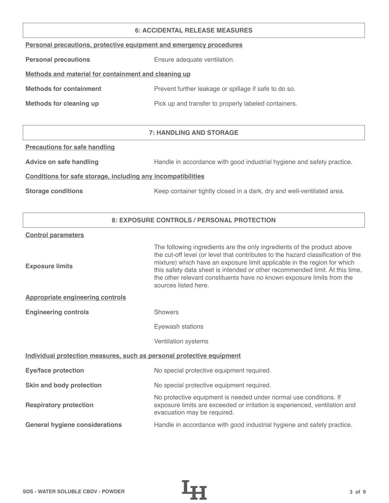#### **6: ACCIDENTAL RELEASE MEASURES**

| Personal precautions, protective equipment and emergency procedures |  |  |  |
|---------------------------------------------------------------------|--|--|--|
|                                                                     |  |  |  |

**Personal precautions** Ensure adequate ventilation.

# **Methods and material for containment and cleaning up**

| <b>Methods for containment</b> | Prevent further leakage or spillage if safe to do so. |
|--------------------------------|-------------------------------------------------------|
|                                |                                                       |

**Methods for cleaning up Pick up and transfer to properly labeled containers.** 

# **7: HANDLING AND STORAGE**

## **Precautions for safe handling**

Advice on safe handling **Handle in accordance with good industrial hygiene and safety practice.** 

## **Conditions for safe storage, including any incompatibilities**

**Storage conditions** Keep container tightly closed in a dark, dry and well-ventilated area.

# **8: EXPOSURE CONTROLS / PERSONAL PROTECTION**

#### **Control parameters**

| <b>Exposure limits</b>                                                | The following ingredients are the only ingredients of the product above<br>the cut-off level (or level that contributes to the hazard classification of the<br>mixture) which have an exposure limit applicable in the region for which<br>this safety data sheet is intended or other recommended limit. At this time,<br>the other relevant constituents have no known exposure limits from the<br>sources listed here. |  |
|-----------------------------------------------------------------------|---------------------------------------------------------------------------------------------------------------------------------------------------------------------------------------------------------------------------------------------------------------------------------------------------------------------------------------------------------------------------------------------------------------------------|--|
| <b>Appropriate engineering controls</b>                               |                                                                                                                                                                                                                                                                                                                                                                                                                           |  |
| <b>Engineering controls</b>                                           | <b>Showers</b>                                                                                                                                                                                                                                                                                                                                                                                                            |  |
|                                                                       | Eyewash stations                                                                                                                                                                                                                                                                                                                                                                                                          |  |
|                                                                       | Ventilation systems                                                                                                                                                                                                                                                                                                                                                                                                       |  |
| Individual protection measures, such as personal protective equipment |                                                                                                                                                                                                                                                                                                                                                                                                                           |  |
| <b>Eye/face protection</b>                                            | No special protective equipment required.                                                                                                                                                                                                                                                                                                                                                                                 |  |
| Skin and body protection                                              | No special protective equipment required.                                                                                                                                                                                                                                                                                                                                                                                 |  |
| <b>Respiratory protection</b>                                         | No protective equipment is needed under normal use conditions. If<br>exposure limits are exceeded or irritation is experienced, ventilation and<br>evacuation may be required.                                                                                                                                                                                                                                            |  |
| <b>General hygiene considerations</b>                                 | Handle in accordance with good industrial hygiene and safety practice.                                                                                                                                                                                                                                                                                                                                                    |  |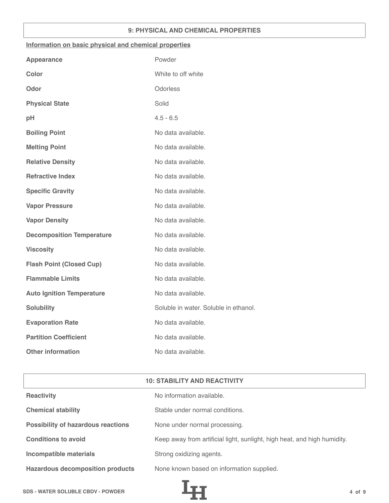## **9: PHYSICAL AND CHEMICAL PROPERTIES**

## **Information on basic physical and chemical properties**

| Powder                                |
|---------------------------------------|
| White to off white                    |
| Odorless                              |
| Solid                                 |
| $4.5 - 6.5$                           |
| No data available.                    |
| No data available.                    |
| No data available.                    |
| No data available.                    |
| No data available.                    |
| No data available.                    |
| No data available.                    |
| No data available.                    |
| No data available.                    |
| No data available.                    |
| No data available.                    |
| No data available.                    |
| Soluble in water. Soluble in ethanol. |
| No data available.                    |
| No data available.                    |
| No data available.                    |
|                                       |

| <b>10: STABILITY AND REACTIVITY</b>       |                                                                          |  |
|-------------------------------------------|--------------------------------------------------------------------------|--|
| <b>Reactivity</b>                         | No information available.                                                |  |
| <b>Chemical stability</b>                 | Stable under normal conditions.                                          |  |
| <b>Possibility of hazardous reactions</b> | None under normal processing.                                            |  |
| <b>Conditions to avoid</b>                | Keep away from artificial light, sunlight, high heat, and high humidity. |  |
| <b>Incompatible materials</b>             | Strong oxidizing agents.                                                 |  |
| <b>Hazardous decomposition products</b>   | None known based on information supplied.                                |  |

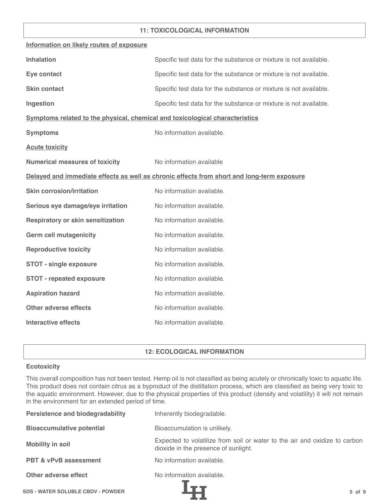## **11: TOXICOLOGICAL INFORMATION**

| Information on likely routes of exposure                                     |                                                                                            |
|------------------------------------------------------------------------------|--------------------------------------------------------------------------------------------|
| <b>Inhalation</b>                                                            | Specific test data for the substance or mixture is not available.                          |
| Eye contact                                                                  | Specific test data for the substance or mixture is not available.                          |
| <b>Skin contact</b>                                                          | Specific test data for the substance or mixture is not available.                          |
| Ingestion                                                                    | Specific test data for the substance or mixture is not available.                          |
| Symptoms related to the physical, chemical and toxicological characteristics |                                                                                            |
| <b>Symptoms</b>                                                              | No information available.                                                                  |
| <b>Acute toxicity</b>                                                        |                                                                                            |
| <b>Numerical measures of toxicity</b>                                        | No information available                                                                   |
|                                                                              | Delayed and immediate effects as well as chronic effects from short and long-term exposure |
| <b>Skin corrosion/irritation</b>                                             | No information available.                                                                  |
| Serious eye damage/eye irritation                                            | No information available.                                                                  |
| <b>Respiratory or skin sensitization</b>                                     | No information available.                                                                  |
| <b>Germ cell mutagenicity</b>                                                | No information available.                                                                  |
| <b>Reproductive toxicity</b>                                                 | No information available.                                                                  |
| <b>STOT - single exposure</b>                                                | No information available.                                                                  |
| <b>STOT - repeated exposure</b>                                              | No information available.                                                                  |
| <b>Aspiration hazard</b>                                                     | No information available.                                                                  |
| <b>Other adverse effects</b>                                                 | No information available.                                                                  |
| <b>Interactive effects</b>                                                   | No information available.                                                                  |

# **12: ECOLOGICAL INFORMATION**

## **Ecotoxicity**

This overall composition has not been tested. Hemp oil is not classified as being acutely or chronically toxic to aquatic life. This product does not contain citrus as a byproduct of the distillation process, which are classified as being very toxic to the aquatic environment. However, due to the physical properties of this product (density and volatility) it will not remain in the environment for an extended period of time.

| <b>Persistence and biodegradability</b>  | Inherently biodegradable.                                                                                          |  |
|------------------------------------------|--------------------------------------------------------------------------------------------------------------------|--|
| <b>Bioaccumulative potential</b>         | Bioaccumulation is unlikely.                                                                                       |  |
| <b>Mobility in soil</b>                  | Expected to volatilize from soil or water to the air and oxidize to carbon<br>dioxide in the presence of sunlight. |  |
| <b>PBT &amp; vPvB assessment</b>         | No information available.                                                                                          |  |
| Other adverse effect                     | No information available.                                                                                          |  |
| <b>SDS - WATER SOLUBLE CBDV - POWDER</b> | $5$ of $9$                                                                                                         |  |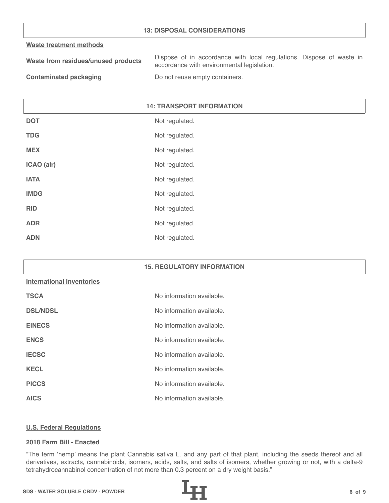## **13: DISPOSAL CONSIDERATIONS**

#### **Waste treatment methods**

| Waste from residues/unused products | Dispose of in accordance with local regulations. Dispose of waste in |
|-------------------------------------|----------------------------------------------------------------------|
|                                     | accordance with environmental legislation.                           |
|                                     |                                                                      |

**Contaminated packaging The Contaminated packaging Containers.** 

# **14: TRANSPORT INFORMATION**

| <b>DOT</b>  | Not regulated. |
|-------------|----------------|
| <b>TDG</b>  | Not regulated. |
| <b>MEX</b>  | Not regulated. |
| ICAO (air)  | Not regulated. |
| <b>IATA</b> | Not regulated. |
| <b>IMDG</b> | Not regulated. |
| <b>RID</b>  | Not regulated. |
| <b>ADR</b>  | Not regulated. |
| <b>ADN</b>  | Not regulated. |

#### **15. REGULATORY INFORMATION**

#### **International inventories**

| <b>TSCA</b>     | No information available. |
|-----------------|---------------------------|
| <b>DSL/NDSL</b> | No information available. |
| <b>EINECS</b>   | No information available. |
| <b>ENCS</b>     | No information available. |
| <b>IECSC</b>    | No information available. |
| <b>KECL</b>     | No information available. |
| <b>PICCS</b>    | No information available. |
| <b>AICS</b>     | No information available. |

#### **U.S. Federal Regulations**

#### **2018 Farm Bill - Enacted**

"The term 'hemp' means the plant Cannabis sativa L. and any part of that plant, including the seeds thereof and all derivatives, extracts, cannabinoids, isomers, acids, salts, and salts of isomers, whether growing or not, with a delta-9 tetrahydrocannabinol concentration of not more than 0.3 percent on a dry weight basis."

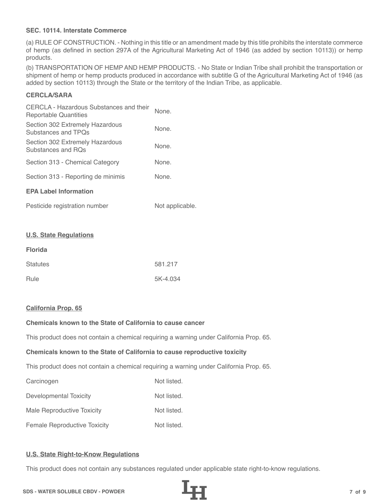## **SEC. 10114. Interstate Commerce**

(a) RULE OF CONSTRUCTION. - Nothing in this title or an amendment made by this title prohibits the interstate commerce of hemp (as defined in section 297A of the Agricultural Marketing Act of 1946 (as added by section 10113)) or hemp products.

(b) TRANSPORTATION OF HEMP AND HEMP PRODUCTS. - No State or Indian Tribe shall prohibit the transportation or shipment of hemp or hemp products produced in accordance with subtitle G of the Agricultural Marketing Act of 1946 (as added by section 10113) through the State or the territory of the Indian Tribe, as applicable.

# **CERCLA/SARA**

| CERCLA - Hazardous Substances and their<br>Reportable Quantities | None. |
|------------------------------------------------------------------|-------|
| Section 302 Extremely Hazardous<br>Substances and TPOs           | None. |
| Section 302 Extremely Hazardous<br>Substances and ROs            | None. |
| Section 313 - Chemical Category                                  | None. |
| Section 313 - Reporting de minimis                               | None. |
| <b>EPA Label Information</b>                                     |       |
|                                                                  |       |

| Pesticide registration number | Not applicable. |
|-------------------------------|-----------------|
|-------------------------------|-----------------|

#### **U.S. State Regulations**

| <b>Florida</b>  |          |
|-----------------|----------|
| <b>Statutes</b> | 581.217  |
| Rule            | 5K-4.034 |

#### **California Prop. 65**

# **Chemicals known to the State of California to cause cancer**

This product does not contain a chemical requiring a warning under California Prop. 65.

#### **Chemicals known to the State of California to cause reproductive toxicity**

This product does not contain a chemical requiring a warning under California Prop. 65.

| Carcinogen                          | Not listed. |
|-------------------------------------|-------------|
| Developmental Toxicity              | Not listed. |
| Male Reproductive Toxicity          | Not listed. |
| <b>Female Reproductive Toxicity</b> | Not listed. |

# **U.S. State Right-to-Know Regulations**

This product does not contain any substances regulated under applicable state right-to-know regulations.

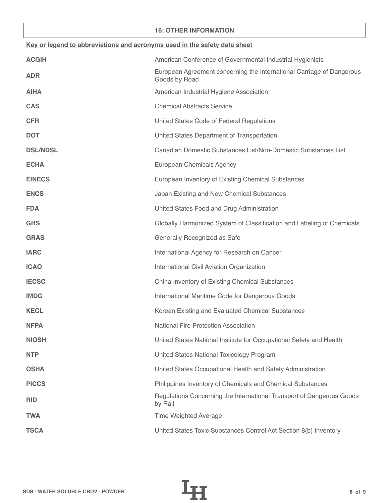## **16: OTHER INFORMATION**

| Key or legend to abbreviations and acronyms used in the safety data sheet |                                                                                        |  |
|---------------------------------------------------------------------------|----------------------------------------------------------------------------------------|--|
| <b>ACGIH</b>                                                              | American Conference of Governmental Industrial Hygienists                              |  |
| <b>ADR</b>                                                                | European Agreement concerning the International Carriage of Dangerous<br>Goods by Road |  |
| <b>AIHA</b>                                                               | American Industrial Hygiene Association                                                |  |
| <b>CAS</b>                                                                | <b>Chemical Abstracts Service</b>                                                      |  |
| <b>CFR</b>                                                                | United States Code of Federal Regulations                                              |  |
| <b>DOT</b>                                                                | United States Department of Transportation                                             |  |
| <b>DSL/NDSL</b>                                                           | Canadian Domestic Substances List/Non-Domestic Substances List                         |  |
| <b>ECHA</b>                                                               | European Chemicals Agency                                                              |  |
| <b>EINECS</b>                                                             | European Inventory of Existing Chemical Substances                                     |  |
| <b>ENCS</b>                                                               | Japan Existing and New Chemical Substances                                             |  |
| <b>FDA</b>                                                                | United States Food and Drug Administration                                             |  |
| <b>GHS</b>                                                                | Globally Harmonized System of Classification and Labeling of Chemicals                 |  |
| <b>GRAS</b>                                                               | Generally Recognized as Safe                                                           |  |
| <b>IARC</b>                                                               | International Agency for Research on Cancer                                            |  |
| <b>ICAO</b>                                                               | International Civil Aviation Organization                                              |  |
| <b>IECSC</b>                                                              | China Inventory of Existing Chemical Substances                                        |  |
| <b>IMDG</b>                                                               | International Maritime Code for Dangerous Goods                                        |  |
| <b>KECL</b>                                                               | Korean Existing and Evaluated Chemical Substances                                      |  |
| <b>NFPA</b>                                                               | <b>National Fire Protection Association</b>                                            |  |
| <b>NIOSH</b>                                                              | United States National Institute for Occupational Safety and Health                    |  |
| <b>NTP</b>                                                                | United States National Toxicology Program                                              |  |
| <b>OSHA</b>                                                               | United States Occupational Health and Safety Administration                            |  |
| <b>PICCS</b>                                                              | Philippines Inventory of Chemicals and Chemical Substances                             |  |
| <b>RID</b>                                                                | Regulations Concerning the International Transport of Dangerous Goods<br>by Rail       |  |
| <b>TWA</b>                                                                | <b>Time Weighted Average</b>                                                           |  |
| <b>TSCA</b>                                                               | United States Toxic Substances Control Act Section 8(b) Inventory                      |  |